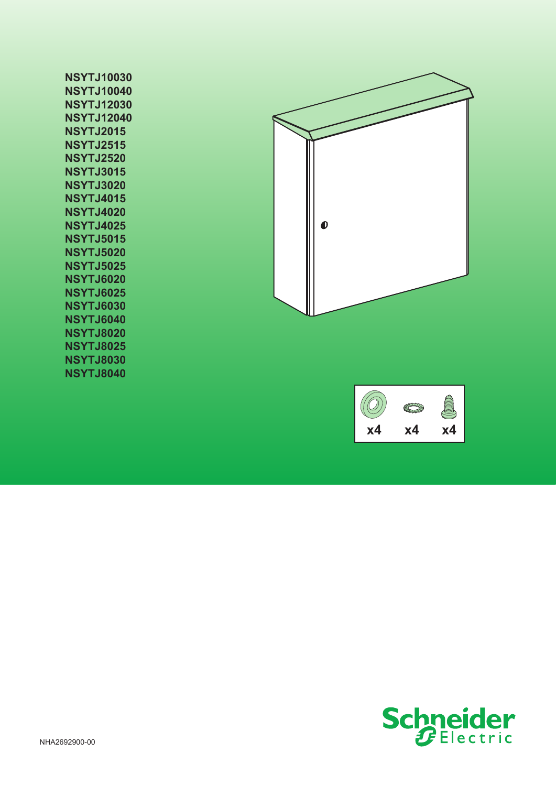| <b>NSYTJ10030</b> |
|-------------------|
| <b>NSYTJ10040</b> |
| <b>NSYTJ12030</b> |
| <b>NSYTJ12040</b> |
| <b>NSYTJ2015</b>  |
| <b>NSYTJ2515</b>  |
| <b>NSYTJ2520</b>  |
| <b>NSYTJ3015</b>  |
| <b>NSYTJ3020</b>  |
| <b>NSYTJ4015</b>  |
| <b>NSYTJ4020</b>  |
| <b>NSYTJ4025</b>  |
| <b>NSYTJ5015</b>  |
| <b>NSYTJ5020</b>  |
| <b>NSYTJ5025</b>  |
| NSYTJ6020         |
| <b>NSYTJ6025</b>  |
| NSYTJ6030         |
| <b>NSYTJ6040</b>  |
| <b>NSYTJ8020</b>  |
| <b>NSYTJ8025</b>  |
| <b>NSYTJ8030</b>  |
| <b>NSYTJ8040</b>  |





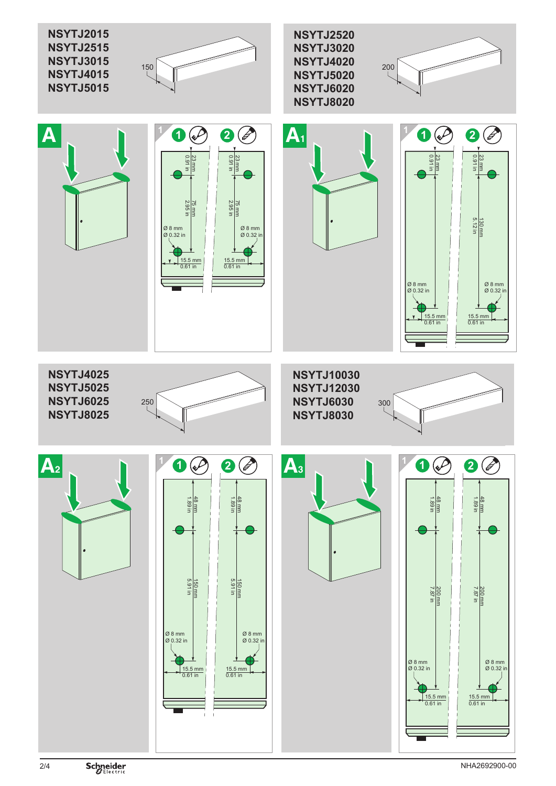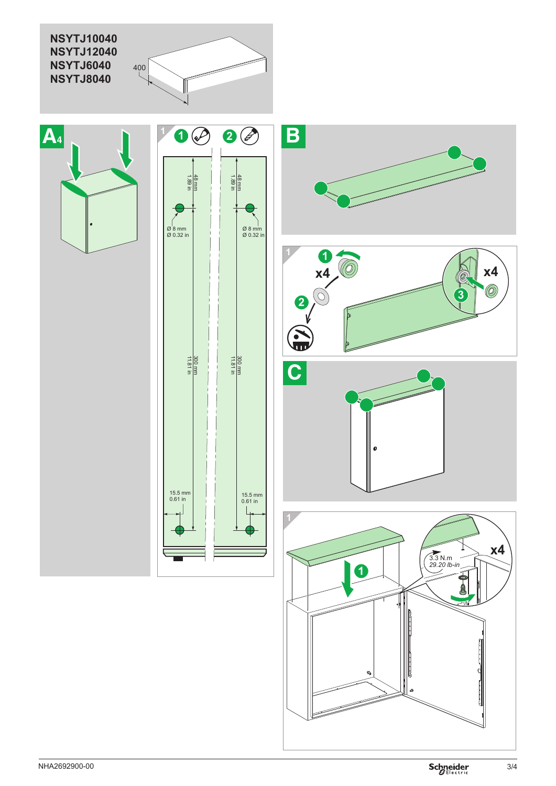